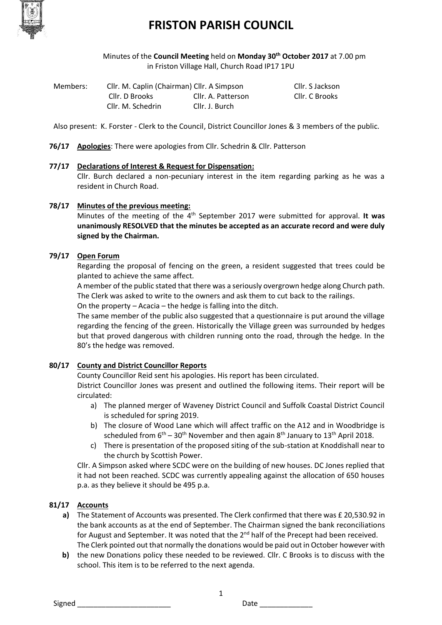

Minutes of the **Council Meeting** held on **Monday 30th October 2017** at 7.00 pm in Friston Village Hall, Church Road IP17 1PU

| Members: | Cllr. M. Caplin (Chairman) Cllr. A Simpson |                    | Cllr. S Jackson |
|----------|--------------------------------------------|--------------------|-----------------|
|          | Cllr. D Brooks                             | Cllr. A. Patterson | Cllr. C Brooks  |
|          | Cllr. M. Schedrin                          | Cllr. J. Burch     |                 |

Also present: K. Forster - Clerk to the Council, District Councillor Jones & 3 members of the public.

**76/17 Apologies**: There were apologies from Cllr. Schedrin & Cllr. Patterson

#### **77/17 Declarations of Interest & Request for Dispensation:**

Cllr. Burch declared a non-pecuniary interest in the item regarding parking as he was a resident in Church Road.

#### **78/17 Minutes of the previous meeting:**

Minutes of the meeting of the 4<sup>th</sup> September 2017 were submitted for approval. It was **unanimously RESOLVED that the minutes be accepted as an accurate record and were duly signed by the Chairman.**

#### **79/17 Open Forum**

Regarding the proposal of fencing on the green, a resident suggested that trees could be planted to achieve the same affect.

A member of the public stated that there was a seriously overgrown hedge along Church path. The Clerk was asked to write to the owners and ask them to cut back to the railings.

On the property – Acacia – the hedge is falling into the ditch.

The same member of the public also suggested that a questionnaire is put around the village regarding the fencing of the green. Historically the Village green was surrounded by hedges but that proved dangerous with children running onto the road, through the hedge. In the 80's the hedge was removed.

### **80/17 County and District Councillor Reports**

County Councillor Reid sent his apologies. His report has been circulated.

District Councillor Jones was present and outlined the following items. Their report will be circulated:

- a) The planned merger of Waveney District Council and Suffolk Coastal District Council is scheduled for spring 2019.
- b) The closure of Wood Lane which will affect traffic on the A12 and in Woodbridge is scheduled from  $6<sup>th</sup> - 30<sup>th</sup>$  November and then again  $8<sup>th</sup>$  January to  $13<sup>th</sup>$  April 2018.
- c) There is presentation of the proposed siting of the sub-station at Knoddishall near to the church by Scottish Power.

Cllr. A Simpson asked where SCDC were on the building of new houses. DC Jones replied that it had not been reached. SCDC was currently appealing against the allocation of 650 houses p.a. as they believe it should be 495 p.a.

### **81/17 Accounts**

- **a)** The Statement of Accounts was presented. The Clerk confirmed that there was £ 20,530.92 in the bank accounts as at the end of September. The Chairman signed the bank reconciliations for August and September. It was noted that the  $2<sup>nd</sup>$  half of the Precept had been received. The Clerk pointed out that normally the donations would be paid out in October however with
- **b)** the new Donations policy these needed to be reviewed. Cllr. C Brooks is to discuss with the school. This item is to be referred to the next agenda.

1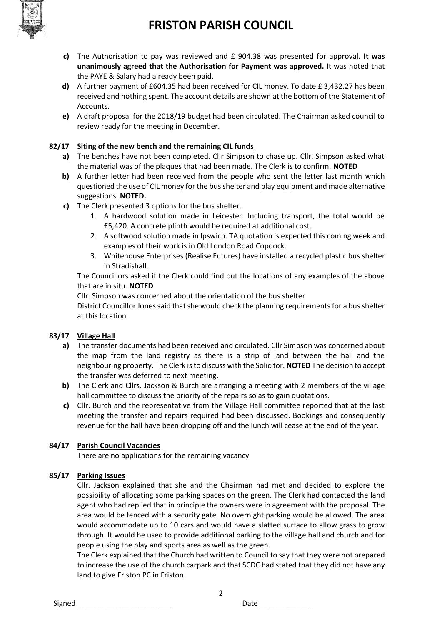

- **c)** The Authorisation to pay was reviewed and £ 904.38 was presented for approval. **It was unanimously agreed that the Authorisation for Payment was approved.** It was noted that the PAYE & Salary had already been paid.
- **d)** A further payment of £604.35 had been received for CIL money. To date £ 3,432.27 has been received and nothing spent. The account details are shown at the bottom of the Statement of Accounts.
- **e)** A draft proposal for the 2018/19 budget had been circulated. The Chairman asked council to review ready for the meeting in December.

### **82/17 Siting of the new bench and the remaining CIL funds**

- **a)** The benches have not been completed. Cllr Simpson to chase up. Cllr. Simpson asked what the material was of the plaques that had been made. The Clerk is to confirm. **NOTED**
- **b)** A further letter had been received from the people who sent the letter last month which questioned the use of CIL money for the bus shelter and play equipment and made alternative suggestions. **NOTED.**
- **c)** The Clerk presented 3 options for the bus shelter.
	- 1. A hardwood solution made in Leicester. Including transport, the total would be £5,420. A concrete plinth would be required at additional cost.
	- 2. A softwood solution made in Ipswich. TA quotation is expected this coming week and examples of their work is in Old London Road Copdock.
	- 3. Whitehouse Enterprises (Realise Futures) have installed a recycled plastic bus shelter in Stradishall.

The Councillors asked if the Clerk could find out the locations of any examples of the above that are in situ. **NOTED**

Cllr. Simpson was concerned about the orientation of the bus shelter.

District Councillor Jones said that she would check the planning requirements for a bus shelter at this location.

### **83/17 Village Hall**

- **a)** The transfer documents had been received and circulated. Cllr Simpson was concerned about the map from the land registry as there is a strip of land between the hall and the neighbouring property. The Clerk is to discuss with the Solicitor. **NOTED** The decision to accept the transfer was deferred to next meeting.
- **b)** The Clerk and Cllrs. Jackson & Burch are arranging a meeting with 2 members of the village hall committee to discuss the priority of the repairs so as to gain quotations.
- **c)** Cllr. Burch and the representative from the Village Hall committee reported that at the last meeting the transfer and repairs required had been discussed. Bookings and consequently revenue for the hall have been dropping off and the lunch will cease at the end of the year.

### **84/17 Parish Council Vacancies**

There are no applications for the remaining vacancy

### **85/17 Parking Issues**

Cllr. Jackson explained that she and the Chairman had met and decided to explore the possibility of allocating some parking spaces on the green. The Clerk had contacted the land agent who had replied that in principle the owners were in agreement with the proposal. The area would be fenced with a security gate. No overnight parking would be allowed. The area would accommodate up to 10 cars and would have a slatted surface to allow grass to grow through. It would be used to provide additional parking to the village hall and church and for people using the play and sports area as well as the green.

The Clerk explained that the Church had written to Council to say that they were not prepared to increase the use of the church carpark and that SCDC had stated that they did not have any land to give Friston PC in Friston.

2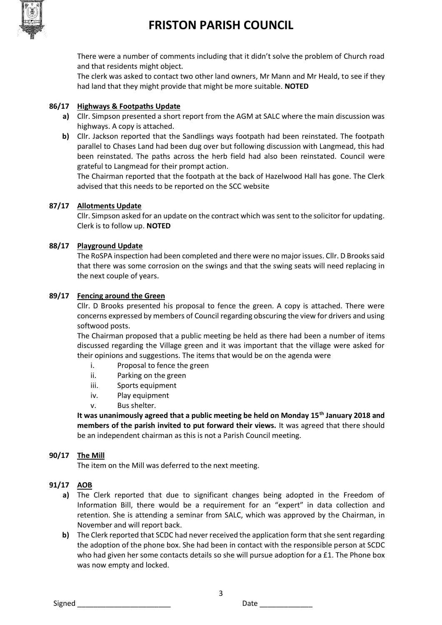

There were a number of comments including that it didn't solve the problem of Church road and that residents might object.

The clerk was asked to contact two other land owners, Mr Mann and Mr Heald, to see if they had land that they might provide that might be more suitable. **NOTED**

### **86/17 Highways & Footpaths Update**

- **a)** Cllr. Simpson presented a short report from the AGM at SALC where the main discussion was highways. A copy is attached.
- **b)** Cllr. Jackson reported that the Sandlings ways footpath had been reinstated. The footpath parallel to Chases Land had been dug over but following discussion with Langmead, this had been reinstated. The paths across the herb field had also been reinstated. Council were grateful to Langmead for their prompt action.

The Chairman reported that the footpath at the back of Hazelwood Hall has gone. The Clerk advised that this needs to be reported on the SCC website

### **87/17 Allotments Update**

Cllr. Simpson asked for an update on the contract which was sent to the solicitor for updating. Clerk is to follow up. **NOTED**

#### **88/17 Playground Update**

The RoSPA inspection had been completed and there were no major issues. Cllr. D Brooks said that there was some corrosion on the swings and that the swing seats will need replacing in the next couple of years.

#### **89/17 Fencing around the Green**

Cllr. D Brooks presented his proposal to fence the green. A copy is attached. There were concerns expressed by members of Council regarding obscuring the view for drivers and using softwood posts.

The Chairman proposed that a public meeting be held as there had been a number of items discussed regarding the Village green and it was important that the village were asked for their opinions and suggestions. The items that would be on the agenda were

- i. Proposal to fence the green
- ii. Parking on the green
- iii. Sports equipment
- iv. Play equipment
- v. Bus shelter.

**It was unanimously agreed that a public meeting be held on Monday 15th January 2018 and members of the parish invited to put forward their views.** It was agreed that there should be an independent chairman as this is not a Parish Council meeting.

### **90/17 The Mill**

The item on the Mill was deferred to the next meeting.

### **91/17 AOB**

- **a)** The Clerk reported that due to significant changes being adopted in the Freedom of Information Bill, there would be a requirement for an "expert" in data collection and retention. She is attending a seminar from SALC, which was approved by the Chairman, in November and will report back.
- **b)** The Clerk reported that SCDC had never received the application form that she sent regarding the adoption of the phone box. She had been in contact with the responsible person at SCDC who had given her some contacts details so she will pursue adoption for a £1. The Phone box was now empty and locked.

3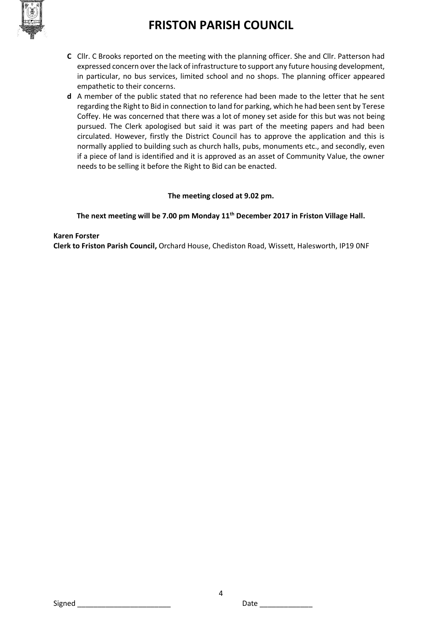

- **C** Cllr. C Brooks reported on the meeting with the planning officer. She and Cllr. Patterson had expressed concern over the lack of infrastructure to support any future housing development, in particular, no bus services, limited school and no shops. The planning officer appeared empathetic to their concerns.
- **d** A member of the public stated that no reference had been made to the letter that he sent regarding the Right to Bid in connection to land for parking, which he had been sent by Terese Coffey. He was concerned that there was a lot of money set aside for this but was not being pursued. The Clerk apologised but said it was part of the meeting papers and had been circulated. However, firstly the District Council has to approve the application and this is normally applied to building such as church halls, pubs, monuments etc., and secondly, even if a piece of land is identified and it is approved as an asset of Community Value, the owner needs to be selling it before the Right to Bid can be enacted.

### **The meeting closed at 9.02 pm.**

### **The next meeting will be 7.00 pm Monday 11th December 2017 in Friston Village Hall.**

#### **Karen Forster**

**Clerk to Friston Parish Council,** Orchard House, Chediston Road, Wissett, Halesworth, IP19 0NF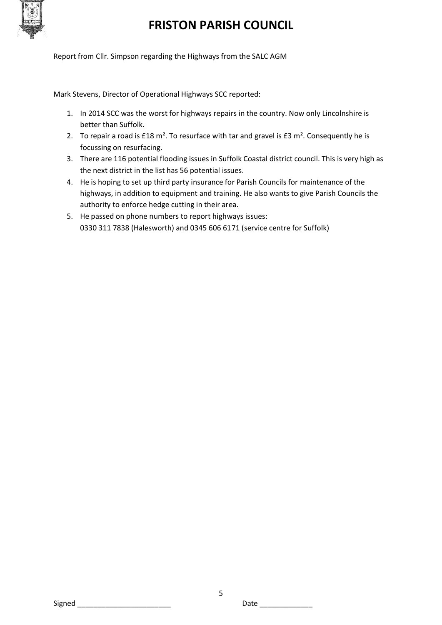

Report from Cllr. Simpson regarding the Highways from the SALC AGM

Mark Stevens, Director of Operational Highways SCC reported:

- 1. In 2014 SCC was the worst for highways repairs in the country. Now only Lincolnshire is better than Suffolk.
- 2. To repair a road is  $£18$  m<sup>2</sup>. To resurface with tar and gravel is  $£3$  m<sup>2</sup>. Consequently he is focussing on resurfacing.
- 3. There are 116 potential flooding issues in Suffolk Coastal district council. This is very high as the next district in the list has 56 potential issues.
- 4. He is hoping to set up third party insurance for Parish Councils for maintenance of the highways, in addition to equipment and training. He also wants to give Parish Councils the authority to enforce hedge cutting in their area.
- 5. He passed on phone numbers to report highways issues: 0330 311 7838 (Halesworth) and 0345 606 6171 (service centre for Suffolk)

Signed \_\_\_\_\_\_\_\_\_\_\_\_\_\_\_\_\_\_\_\_\_\_\_ Date \_\_\_\_\_\_\_\_\_\_\_\_\_

5